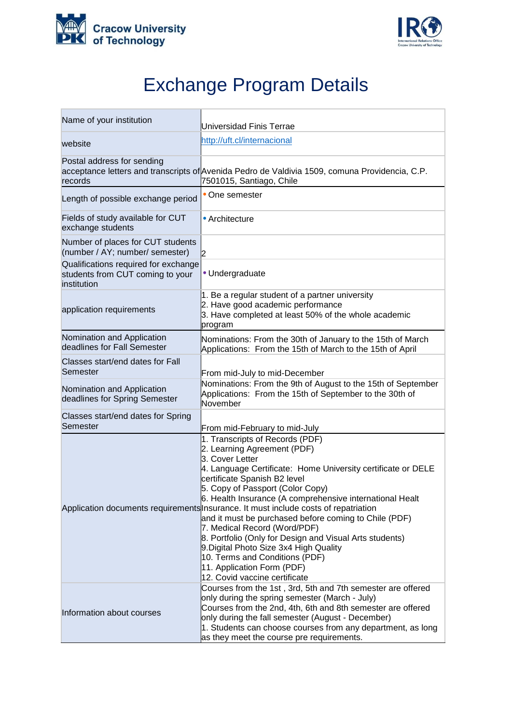



## Exchange Program Details

| Name of your institution                                                                | Universidad Finis Terrae                                                                                                                                                                                                                                                                                                                                                                                                                                                                                                                                                                                                                                                |
|-----------------------------------------------------------------------------------------|-------------------------------------------------------------------------------------------------------------------------------------------------------------------------------------------------------------------------------------------------------------------------------------------------------------------------------------------------------------------------------------------------------------------------------------------------------------------------------------------------------------------------------------------------------------------------------------------------------------------------------------------------------------------------|
| website                                                                                 | http://uft.cl/internacional                                                                                                                                                                                                                                                                                                                                                                                                                                                                                                                                                                                                                                             |
| Postal address for sending<br>records                                                   | acceptance letters and transcripts of Avenida Pedro de Valdivia 1509, comuna Providencia, C.P.<br>7501015, Santiago, Chile                                                                                                                                                                                                                                                                                                                                                                                                                                                                                                                                              |
| Length of possible exchange period                                                      | • One semester                                                                                                                                                                                                                                                                                                                                                                                                                                                                                                                                                                                                                                                          |
| Fields of study available for CUT<br>exchange students                                  | • Architecture                                                                                                                                                                                                                                                                                                                                                                                                                                                                                                                                                                                                                                                          |
| Number of places for CUT students<br>(number / AY; number/ semester)                    | 12                                                                                                                                                                                                                                                                                                                                                                                                                                                                                                                                                                                                                                                                      |
| Qualifications required for exchange<br>students from CUT coming to your<br>institution | • Undergraduate                                                                                                                                                                                                                                                                                                                                                                                                                                                                                                                                                                                                                                                         |
| application requirements                                                                | 1. Be a regular student of a partner university<br>2. Have good academic performance<br>3. Have completed at least 50% of the whole academic<br>program                                                                                                                                                                                                                                                                                                                                                                                                                                                                                                                 |
| Nomination and Application<br>deadlines for Fall Semester                               | Nominations: From the 30th of January to the 15th of March<br>Applications: From the 15th of March to the 15th of April                                                                                                                                                                                                                                                                                                                                                                                                                                                                                                                                                 |
| Classes start/end dates for Fall<br>Semester                                            | From mid-July to mid-December                                                                                                                                                                                                                                                                                                                                                                                                                                                                                                                                                                                                                                           |
| Nomination and Application<br>deadlines for Spring Semester                             | Nominations: From the 9th of August to the 15th of September<br>Applications: From the 15th of September to the 30th of<br>November                                                                                                                                                                                                                                                                                                                                                                                                                                                                                                                                     |
| Classes start/end dates for Spring<br>Semester                                          | From mid-February to mid-July                                                                                                                                                                                                                                                                                                                                                                                                                                                                                                                                                                                                                                           |
|                                                                                         | 1. Transcripts of Records (PDF)<br>2. Learning Agreement (PDF)<br>3. Cover Letter<br>4. Language Certificate: Home University certificate or DELE<br>certificate Spanish B2 level<br>5. Copy of Passport (Color Copy)<br>6. Health Insurance (A comprehensive international Healt<br>Application documents requirements Insurance. It must include costs of repatriation<br>and it must be purchased before coming to Chile (PDF)<br>7. Medical Record (Word/PDF)<br>8. Portfolio (Only for Design and Visual Arts students)<br>9. Digital Photo Size 3x4 High Quality<br>10. Terms and Conditions (PDF)<br>11. Application Form (PDF)<br>12. Covid vaccine certificate |
| Information about courses                                                               | Courses from the 1st, 3rd, 5th and 7th semester are offered<br>only during the spring semester (March - July)<br>Courses from the 2nd, 4th, 6th and 8th semester are offered<br>only during the fall semester (August - December)<br>1. Students can choose courses from any department, as long<br>as they meet the course pre requirements.                                                                                                                                                                                                                                                                                                                           |